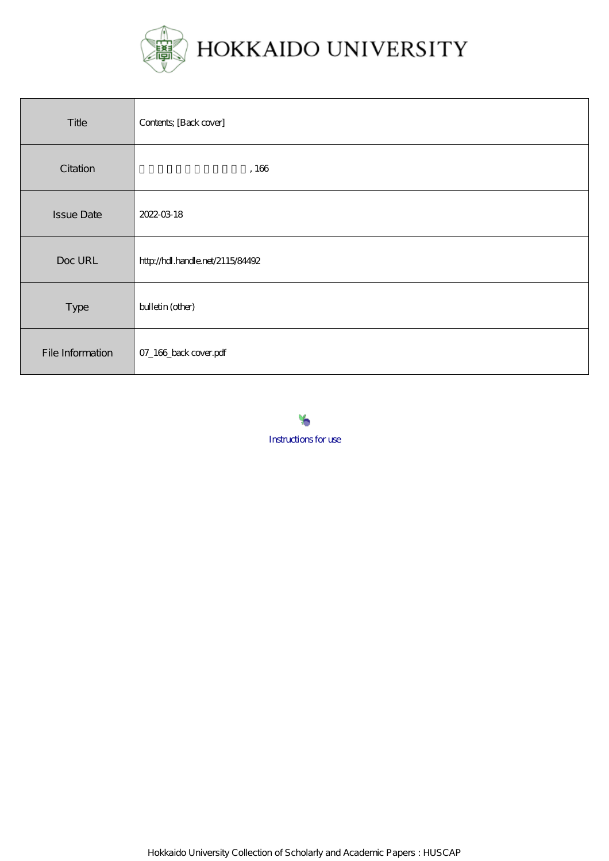

| Title             | Contents; [Back cover]           |
|-------------------|----------------------------------|
| Citation          | ,166                             |
| <b>Issue Date</b> | 2022-03-18                       |
| Doc URL           | http://hdl.handle.net/2115/84492 |
| Type              | bulletin (other)                 |
| File Information  | 07_166_back cover.pdf            |



Hokkaido University Collection of Scholarly and Academic Papers : HUSCAP